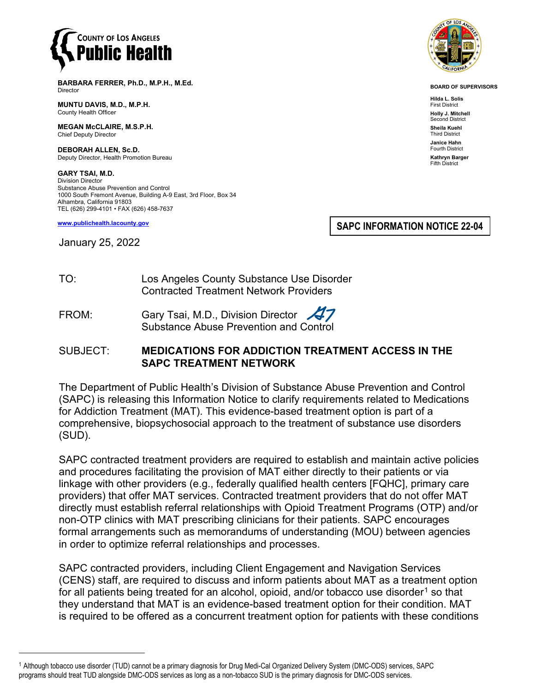

**BARBARA FERRER, Ph.D., M.P.H., M.Ed.** Director

**MUNTU DAVIS, M.D., M.P.H.** County Health Officer

**MEGAN McCLAIRE, M.S.P.H.** Chief Deputy Director

**DEBORAH ALLEN, Sc.D.** Deputy Director, Health Promotion Bureau

**GARY TSAI, M.D.** Division Director Substance Abuse Prevention and Control 1000 South Fremont Avenue, Building A-9 East, 3rd Floor, Box 34 Alhambra, California 91803 TEL (626) 299-4101 • FAX (626) 458-7637

**[www.publichealth.lacounty.gov](http://www.publichealth.lacounty.gov/)**

January 25, 2022

**SAPC INFORMATION NOTICE 22-04**

TO: Los Angeles County Substance Use Disorder Contracted Treatment Network Providers

FROM: Gary Tsai, M.D., Division Director Substance Abuse Prevention and Control

### SUBJECT: **MEDICATIONS FOR ADDICTION TREATMENT ACCESS IN THE SAPC TREATMENT NETWORK**

The Department of Public Health's Division of Substance Abuse Prevention and Control (SAPC) is releasing this Information Notice to clarify requirements related to Medications for Addiction Treatment (MAT). This evidence-based treatment option is part of a comprehensive, biopsychosocial approach to the treatment of substance use disorders (SUD).

SAPC contracted treatment providers are required to establish and maintain active policies and procedures facilitating the provision of MAT either directly to their patients or via linkage with other providers (e.g., federally qualified health centers [FQHC], primary care providers) that offer MAT services. Contracted treatment providers that do not offer MAT directly must establish referral relationships with Opioid Treatment Programs (OTP) and/or non-OTP clinics with MAT prescribing clinicians for their patients. SAPC encourages formal arrangements such as memorandums of understanding (MOU) between agencies in order to optimize referral relationships and processes.

SAPC contracted providers, including Client Engagement and Navigation Services (CENS) staff, are required to discuss and inform patients about MAT as a treatment option for all patients being treated for an alcohol, opioid, and/or tobacco use disorder<sup>[1](#page-0-0)</sup> so that they understand that MAT is an evidence-based treatment option for their condition. MAT is required to be offered as a concurrent treatment option for patients with these conditions



**BOARD OF SUPERVISORS**

**Hilda L. Solis** First District **Holly J. Mitchell** ond District **Sheila Kuehl** Third District **Janice Hahn** Fourth District **Kathryn Barger** Fifth District

<span id="page-0-0"></span><sup>1</sup> Although tobacco use disorder (TUD) cannot be a primary diagnosis for Drug Medi-Cal Organized Delivery System (DMC-ODS) services, SAPC programs should treat TUD alongside DMC-ODS services as long as a non-tobacco SUD is the primary diagnosis for DMC-ODS services.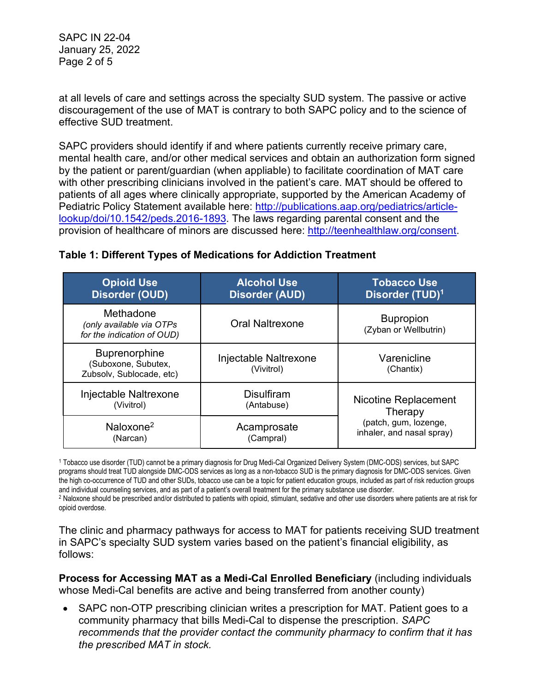SAPC IN 22-04 January 25, 2022 Page 2 of 5

at all levels of care and settings across the specialty SUD system. The passive or active discouragement of the use of MAT is contrary to both SAPC policy and to the science of effective SUD treatment.

SAPC providers should identify if and where patients currently receive primary care, mental health care, and/or other medical services and obtain an authorization form signed by the patient or parent/guardian (when appliable) to facilitate coordination of MAT care with other prescribing clinicians involved in the patient's care. MAT should be offered to patients of all ages where clinically appropriate, supported by the American Academy of Pediatric Policy Statement available here: [http://publications.aap.org/pediatrics/article](http://publications.aap.org/pediatrics/article-lookup/doi/10.1542/peds.2016-1893)[lookup/doi/10.1542/peds.2016-1893.](http://publications.aap.org/pediatrics/article-lookup/doi/10.1542/peds.2016-1893) The laws regarding parental consent and the provision of healthcare of minors are discussed here: [http://teenhealthlaw.org/consent.](http://teenhealthlaw.org/consent)

| <b>Opioid Use</b><br><b>Disorder (OUD)</b>                          | <b>Alcohol Use</b><br><b>Disorder (AUD)</b> | <b>Tobacco Use</b><br>Disorder (TUD) <sup>1</sup>                                     |
|---------------------------------------------------------------------|---------------------------------------------|---------------------------------------------------------------------------------------|
| Methadone<br>(only available via OTPs<br>for the indication of OUD) | <b>Oral Naltrexone</b>                      | <b>Bupropion</b><br>(Zyban or Wellbutrin)                                             |
| Buprenorphine<br>(Suboxone, Subutex,<br>Zubsolv, Sublocade, etc)    | Injectable Naltrexone<br>(Vivitrol)         | Varenicline<br>(Chantix)                                                              |
| Injectable Naltrexone<br>(Vivitrol)                                 | <b>Disulfiram</b><br>(Antabuse)             | Nicotine Replacement<br>Therapy<br>(patch, gum, lozenge,<br>inhaler, and nasal spray) |
| Naloxone $2$<br>(Narcan)                                            | Acamprosate<br>(Campral)                    |                                                                                       |

## **Table 1: Different Types of Medications for Addiction Treatment**

<sup>1</sup> Tobacco use disorder (TUD) cannot be a primary diagnosis for Drug Medi-Cal Organized Delivery System (DMC-ODS) services, but SAPC programs should treat TUD alongside DMC-ODS services as long as a non-tobacco SUD is the primary diagnosis for DMC-ODS services. Given the high co-occurrence of TUD and other SUDs, tobacco use can be a topic for patient education groups, included as part of risk reduction groups and individual counseling services, and as part of a patient's overall treatment for the primary substance use disorder.

<sup>2</sup> Naloxone should be prescribed and/or distributed to patients with opioid, stimulant, sedative and other use disorders where patients are at risk for opioid overdose.

The clinic and pharmacy pathways for access to MAT for patients receiving SUD treatment in SAPC's specialty SUD system varies based on the patient's financial eligibility, as follows:

**Process for Accessing MAT as a Medi-Cal Enrolled Beneficiary** (including individuals whose Medi-Cal benefits are active and being transferred from another county)

• SAPC non-OTP prescribing clinician writes a prescription for MAT. Patient goes to a community pharmacy that bills Medi-Cal to dispense the prescription. *SAPC recommends that the provider contact the community pharmacy to confirm that it has the prescribed MAT in stock.*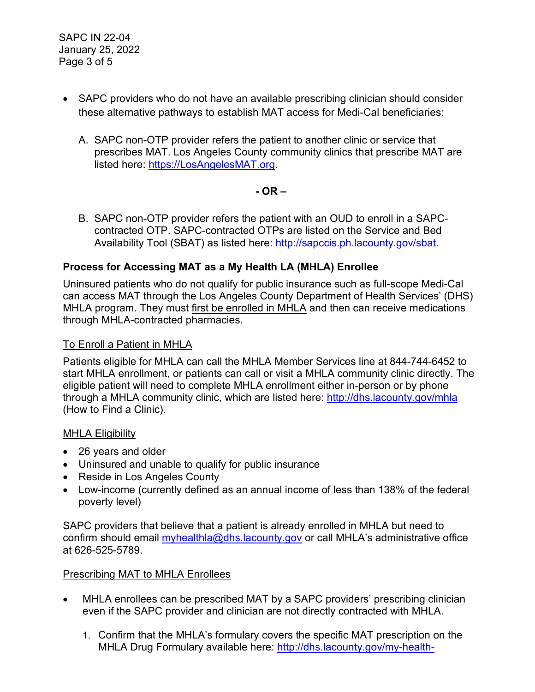- SAPC providers who do not have an available prescribing clinician should consider these alternative pathways to establish MAT access for Medi-Cal beneficiaries:
	- A. SAPC non-OTP provider refers the patient to another clinic or service that prescribes MAT. Los Angeles County community clinics that prescribe MAT are listed here: [https://LosAngelesMAT.org.](https://losangelesmat.org/)

**- OR –**

B. SAPC non-OTP provider refers the patient with an OUD to enroll in a SAPCcontracted OTP. SAPC-contracted OTPs are listed on the Service and Bed Availability Tool (SBAT) as listed here: [http://sapccis.ph.lacounty.gov/sbat.](http://sapccis.ph.lacounty.gov/sbat)

# **Process for Accessing MAT as a My Health LA (MHLA) Enrollee**

Uninsured patients who do not qualify for public insurance such as full-scope Medi-Cal can access MAT through the Los Angeles County Department of Health Services' (DHS) MHLA program. They must first be enrolled in MHLA and then can receive medications through MHLA-contracted pharmacies.

### To Enroll a Patient in MHLA

Patients eligible for MHLA can call the MHLA Member Services line at 844-744-6452 to start MHLA enrollment, or patients can call or visit a MHLA community clinic directly. The eligible patient will need to complete MHLA enrollment either in-person or by phone through a MHLA community clinic, which are listed here:<http://dhs.lacounty.gov/mhla> (How to Find a Clinic).

### MHLA Eligibility

- 26 years and older
- Uninsured and unable to qualify for public insurance
- Reside in Los Angeles County
- Low-income (currently defined as an annual income of less than 138% of the federal poverty level)

SAPC providers that believe that a patient is already enrolled in MHLA but need to confirm should email [myhealthla@dhs.lacounty.gov](mailto:myhealthla@dhs.lacounty.gov) or call MHLA's administrative office at 626-525-5789.

## Prescribing MAT to MHLA Enrollees

- MHLA enrollees can be prescribed MAT by a SAPC providers' prescribing clinician even if the SAPC provider and clinician are not directly contracted with MHLA.
	- 1. Confirm that the MHLA's formulary covers the specific MAT prescription on the MHLA Drug Formulary available here: [http://dhs.lacounty.gov/my-health-](http://dhs.lacounty.gov/my-health-la/pharmacy)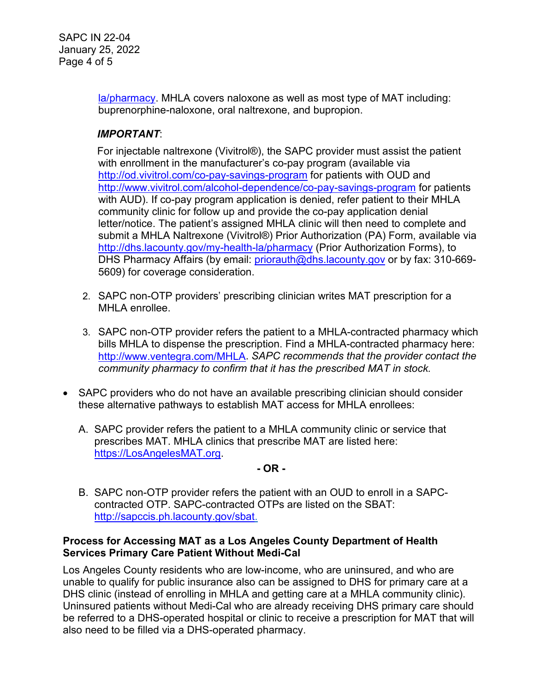SAPC IN 22-04 January 25, 2022 Page 4 of 5

> [la/pharmacy.](http://dhs.lacounty.gov/my-health-la/pharmacy) MHLA covers naloxone as well as most type of MAT including: buprenorphine-naloxone, oral naltrexone, and bupropion.

## *IMPORTANT*:

For injectable naltrexone (Vivitrol®), the SAPC provider must assist the patient with enrollment in the manufacturer's co-pay program (available via <http://od.vivitrol.com/co-pay-savings-program> for patients with OUD and <http://www.vivitrol.com/alcohol-dependence/co-pay-savings-program> for patients with AUD). If co-pay program application is denied, refer patient to their MHLA community clinic for follow up and provide the co-pay application denial letter/notice. The patient's assigned MHLA clinic will then need to complete and submit a MHLA Naltrexone (Vivitrol®) Prior Authorization (PA) Form, available via <http://dhs.lacounty.gov/my-health-la/pharmacy> (Prior Authorization Forms), to DHS Pharmacy Affairs (by email: [priorauth@dhs.lacounty.gov](mailto:priorauth@dhs.lacounty.gov) or by fax: 310-669-5609) for coverage consideration.

- 2. SAPC non-OTP providers' prescribing clinician writes MAT prescription for a MHLA enrollee.
- 3. SAPC non-OTP provider refers the patient to a MHLA-contracted pharmacy which bills MHLA to dispense the prescription. Find a MHLA-contracted pharmacy here: [http://www.ventegra.com/MHLA.](http://www.ventegra.com/MHLA) *SAPC recommends that the provider contact the community pharmacy to confirm that it has the prescribed MAT in stock.*
- SAPC providers who do not have an available prescribing clinician should consider these alternative pathways to establish MAT access for MHLA enrollees:
	- A. SAPC provider refers the patient to a MHLA community clinic or service that prescribes MAT. MHLA clinics that prescribe MAT are listed here: [https://LosAngelesMAT.org.](https://losangelesmat.org/)

### **- OR -**

B. SAPC non-OTP provider refers the patient with an OUD to enroll in a SAPCcontracted OTP. SAPC-contracted OTPs are listed on the SBAT: [http://sapccis.ph.lacounty.gov/sbat.](http://sapccis.ph.lacounty.gov/sbat)

### **Process for Accessing MAT as a Los Angeles County Department of Health Services Primary Care Patient Without Medi-Cal**

Los Angeles County residents who are low-income, who are uninsured, and who are unable to qualify for public insurance also can be assigned to DHS for primary care at a DHS clinic (instead of enrolling in MHLA and getting care at a MHLA community clinic). Uninsured patients without Medi-Cal who are already receiving DHS primary care should be referred to a DHS-operated hospital or clinic to receive a prescription for MAT that will also need to be filled via a DHS-operated pharmacy.